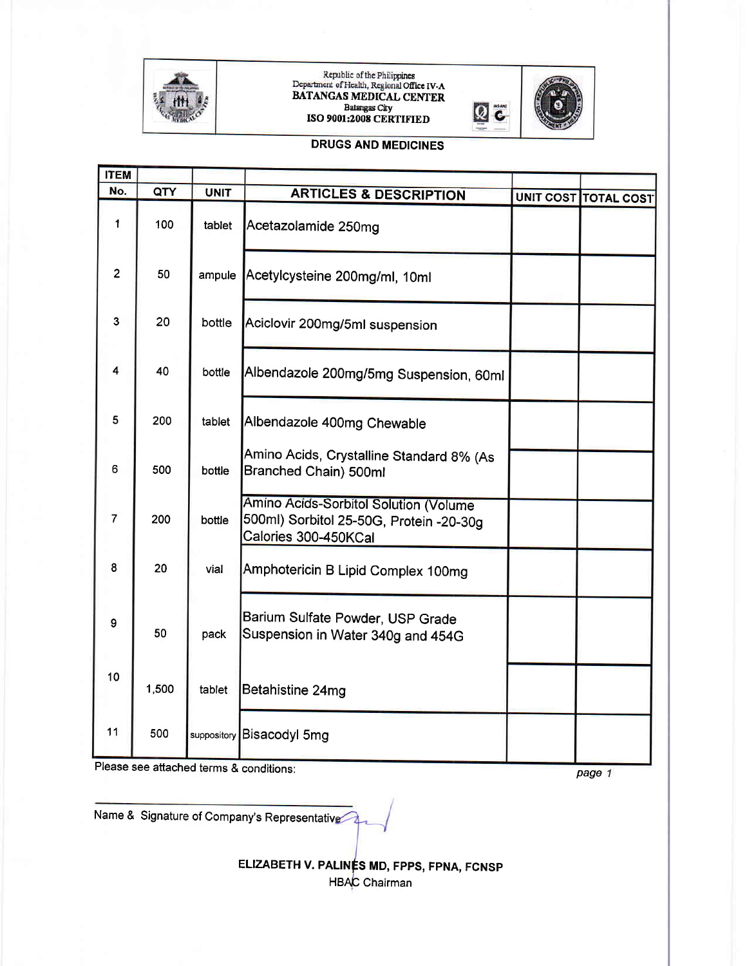

## kepuolic of the Philippines<br>Department of Health, Regional Office IV-A<br>BATANGAS MEDICAL CENTER Batangas City ISO 9001:2008 CERTIFIED



## DRUGS AND MEDICINES

| <b>ITEM</b>    |       |             |                                                                                                          |                             |
|----------------|-------|-------------|----------------------------------------------------------------------------------------------------------|-----------------------------|
| No.            | QTY   | <b>UNIT</b> | <b>ARTICLES &amp; DESCRIPTION</b>                                                                        | <b>UNIT COST TOTAL COST</b> |
| 1              | 100   | tablet      | Acetazolamide 250mg                                                                                      |                             |
| $\overline{2}$ | 50    | ampule      | Acetylcysteine 200mg/ml, 10ml                                                                            |                             |
| 3              | 20    | bottle      | Aciclovir 200mg/5ml suspension                                                                           |                             |
| 4              | 40    | bottle      | Albendazole 200mg/5mg Suspension, 60ml                                                                   |                             |
| 5              | 200   | tablet      | Albendazole 400mg Chewable                                                                               |                             |
| 6              | 500   | bottle      | Amino Acids, Crystalline Standard 8% (As<br>Branched Chain) 500ml                                        |                             |
| $\overline{7}$ | 200   | bottle      | Amino Acids-Sorbitol Solution (Volume<br>500ml) Sorbitol 25-50G, Protein -20-30g<br>Calories 300-450KCal |                             |
| 8              | 20    | vial        | Amphotericin B Lipid Complex 100mg                                                                       |                             |
| 9              | 50    | pack        | Barium Sulfate Powder, USP Grade<br>Suspension in Water 340g and 454G                                    |                             |
| 10             | 1,500 | tablet      | Betahistine 24mg                                                                                         |                             |
| 11             | 500   | suppository | Bisacodyl 5mg                                                                                            |                             |

Please see attached terms & conditions:

page 1

Name & Signature of Company's Representative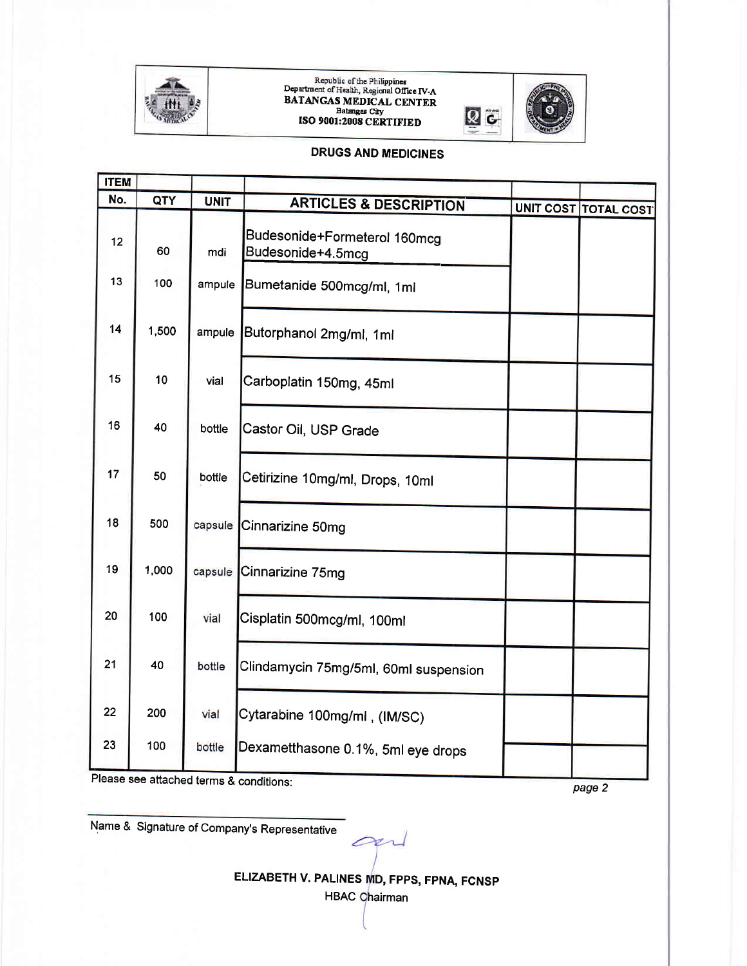

## Republic of the Philippines<br>
Department of Health, Regional Office IV-A<br>
BATANGAS MEDICAL CENTER<br>
Batangas City<br>
ISO 9001:2008 CERTIFIED



#### **DRUGS AND MEDICINES**

| <b>ITEM</b> |       |             |                                                   |                             |
|-------------|-------|-------------|---------------------------------------------------|-----------------------------|
| No.         | QTY   | <b>UNIT</b> | <b>ARTICLES &amp; DESCRIPTION</b>                 | <b>UNIT COST TOTAL COST</b> |
| 12          | 60    | mdi         | Budesonide+Formeterol 160mcg<br>Budesonide+4.5mcg |                             |
| 13          | 100   | ampule      | Bumetanide 500mcg/ml, 1ml                         |                             |
| 14          | 1,500 | ampule      | Butorphanol 2mg/ml, 1ml                           |                             |
| 15          | 10    | vial        | Carboplatin 150mg, 45ml                           |                             |
| 16          | 40    | bottle      | Castor Oil, USP Grade                             |                             |
| 17          | 50    | bottle      | Cetirizine 10mg/ml, Drops, 10ml                   |                             |
| 18          | 500   | capsule     | Cinnarizine 50mg                                  |                             |
| 19          | 1,000 | capsule     | Cinnarizine 75mg                                  |                             |
| 20          | 100   | vial        | Cisplatin 500mcg/ml, 100ml                        |                             |
| 21          | 40    | bottle      | Clindamycin 75mg/5ml, 60ml suspension             |                             |
| 22          | 200   | vial        | Cytarabine 100mg/ml, (IM/SC)                      |                             |
| 23          | 100   | bottle      | Dexametthasone 0.1%, 5ml eye drops                |                             |

Please see attached terms & conditions:

page 2

Name & Signature of Company's Representative

ELIZABETH V. PALINES MD, FPPS, FPNA, FCNSP

on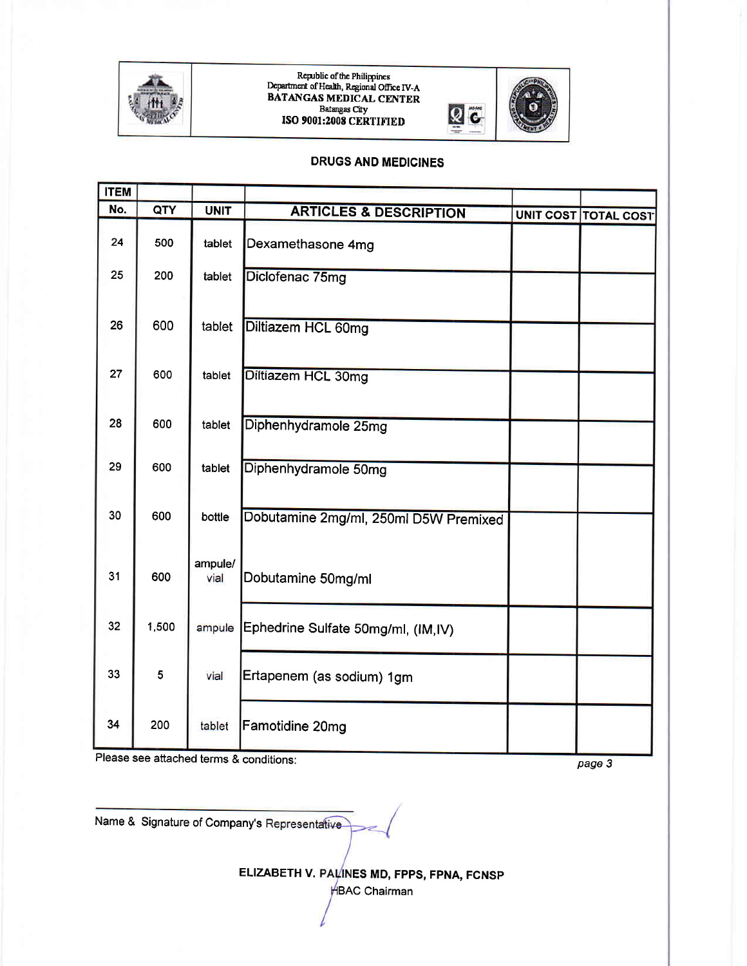

Republic of the Philippines<br>Department of Health, Regional Office IV-A<br>BATANGAS MEDICAL CENTER Batangas City<br>ISO 9001:2008 CERTIFIED



#### **DRUGS AND MEDICINES**

| <b>ITEM</b> |       |                 |                                       |                             |
|-------------|-------|-----------------|---------------------------------------|-----------------------------|
| No.         | QTY   | <b>UNIT</b>     | <b>ARTICLES &amp; DESCRIPTION</b>     | <b>UNIT COST TOTAL COST</b> |
| 24          | 500   | tablet          | Dexamethasone 4mg                     |                             |
| 25          | 200   | tablet          | Diclofenac 75mg                       |                             |
| 26          | 600   | tablet          | Diltiazem HCL 60mg                    |                             |
| 27          | 600   | tablet          | Diltiazem HCL 30mg                    |                             |
| 28          | 600   | tablet          | Diphenhydramole 25mg                  |                             |
| 29          | 600   | tablet          | Diphenhydramole 50mg                  |                             |
| 30          | 600   | bottle          | Dobutamine 2mg/ml, 250ml D5W Premixed |                             |
| 31          | 600   | ampule/<br>vial | Dobutamine 50mg/ml                    |                             |
| 32          | 1,500 | ampule          | Ephedrine Sulfate 50mg/ml, (IM,IV)    |                             |
| 33          | 5     | vial            | Ertapenem (as sodium) 1gm             |                             |
| 34          | 200   | tablet          | Famotidine 20mg                       |                             |

Please see attached terms & conditions:

page 3

Name & Signature of Company's Representative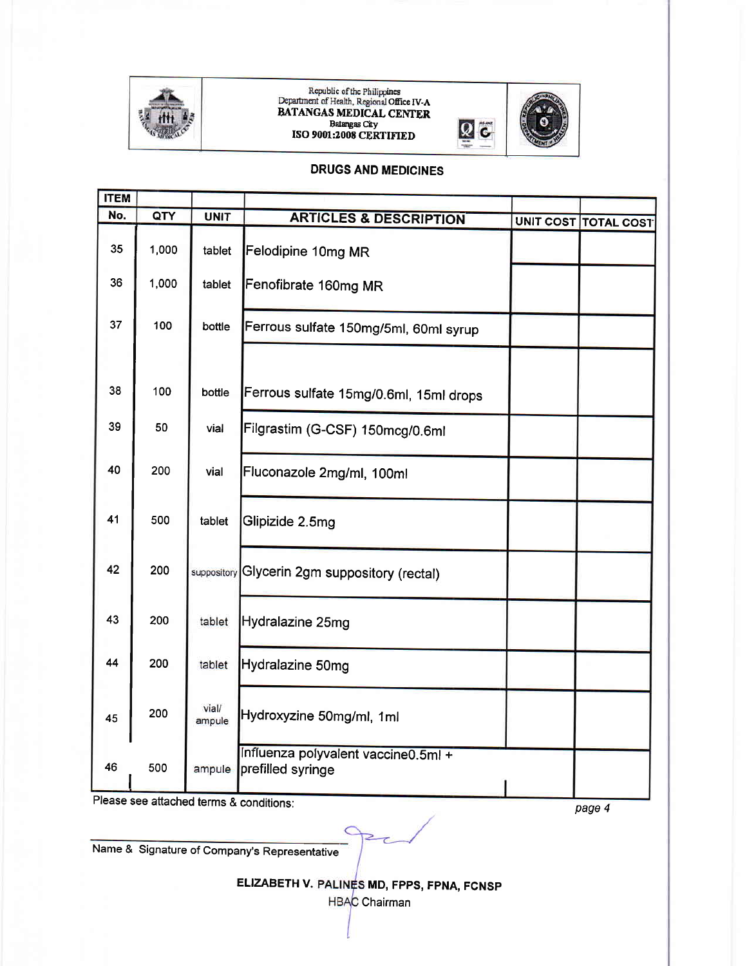

# Republic of the Philippines<br>
Department of Health, Regional Office IV-A<br>
BATANGAS MEDICAL CENTER<br>
Batangas City<br>
ISO 9001:2008 CERTIFIED



### **DRUGS AND MEDICINES**

| <b>ITEM</b> |       |                 |                                                          |                      |
|-------------|-------|-----------------|----------------------------------------------------------|----------------------|
| No.         | QTY   | <b>UNIT</b>     | <b>ARTICLES &amp; DESCRIPTION</b>                        |                      |
| 35          | 1,000 | tablet          | Felodipine 10mg MR                                       | UNIT COST TOTAL COST |
| 36          | 1,000 | tablet          | Fenofibrate 160mg MR                                     |                      |
| 37          | 100   | bottle          | Ferrous sulfate 150mg/5ml, 60ml syrup                    |                      |
| 38          | 100   | bottle          | Ferrous sulfate 15mg/0.6ml, 15ml drops                   |                      |
| 39          | 50    | vial            | Filgrastim (G-CSF) 150mcg/0.6ml                          |                      |
| 40          | 200   | vial            | Fluconazole 2mg/ml, 100ml                                |                      |
| 41          | 500   | tablet          | Glipizide 2.5mg                                          |                      |
| 42          | 200   | suppository     | Glycerin 2gm suppository (rectal)                        |                      |
| 43          | 200   | tablet          | Hydralazine 25mg                                         |                      |
| 44          | 200   | tablet          | Hydralazine 50mg                                         |                      |
| 45          | 200   | vial/<br>ampule | Hydroxyzine 50mg/ml, 1ml                                 |                      |
| 46          | 500   | ampule          | Influenza polyvalent vaccine0.5ml +<br>prefilled syringe |                      |

Please see attached terms & conditions:

page 4

Name & Signature of Company's Representative

ELIZABETH V. PALINES MD, FPPS, FPNA, FCNSP

**HBAC** Chairman

 $\overline{2}$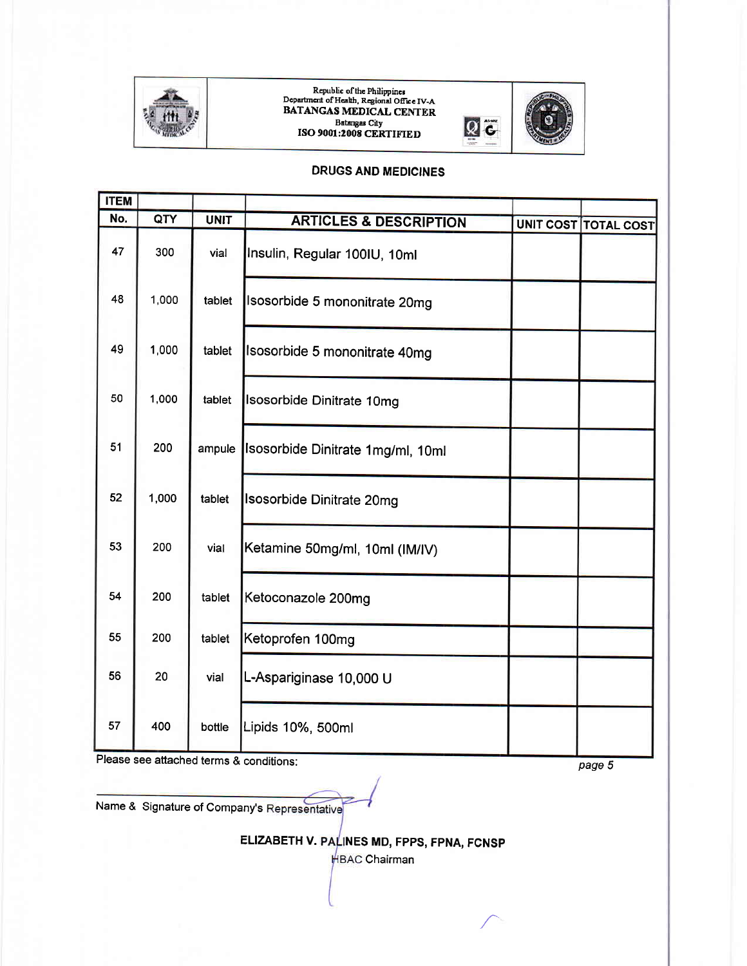

## Republic of the Philippines<br>Department of Health, Regional Office IV-A BATANGAS MEDICAL CENTER Batangas City<br>ISO 9001:2008 CERTIFIED  $Q$  C



### DRUGS AND MEDICINES

| <b>ITEM</b> |       |             |                                   |                      |
|-------------|-------|-------------|-----------------------------------|----------------------|
| No.         | QTY   | <b>UNIT</b> | <b>ARTICLES &amp; DESCRIPTION</b> | UNIT COST TOTAL COST |
| 47          | 300   | vial        | Insulin, Regular 100IU, 10ml      |                      |
| 48          | 1,000 | tablet      | Isosorbide 5 mononitrate 20mg     |                      |
| 49          | 1,000 | tablet      | Isosorbide 5 mononitrate 40mg     |                      |
| 50          | 1,000 | tablet      | Isosorbide Dinitrate 10mg         |                      |
| 51          | 200   | ampule      | Isosorbide Dinitrate 1mg/ml, 10ml |                      |
| 52          | 1,000 | tablet      | Isosorbide Dinitrate 20mg         |                      |
| 53          | 200   | vial        | Ketamine 50mg/ml, 10ml (IM/IV)    |                      |
| 54          | 200   | tablet      | Ketoconazole 200mg                |                      |
| 55          | 200   | tablet      | Ketoprofen 100mg                  |                      |
| 56          | 20    | vial        | L-Aspariginase 10,000 U           |                      |
| 57          | 400   | bottle      | Lipids 10%, 500ml                 |                      |

Please see attached terms & conditions:

page 5

Name & Signature of Company's Representative

ELIZABETH V. PALINES MD, FPPS, FPNA, FCNSP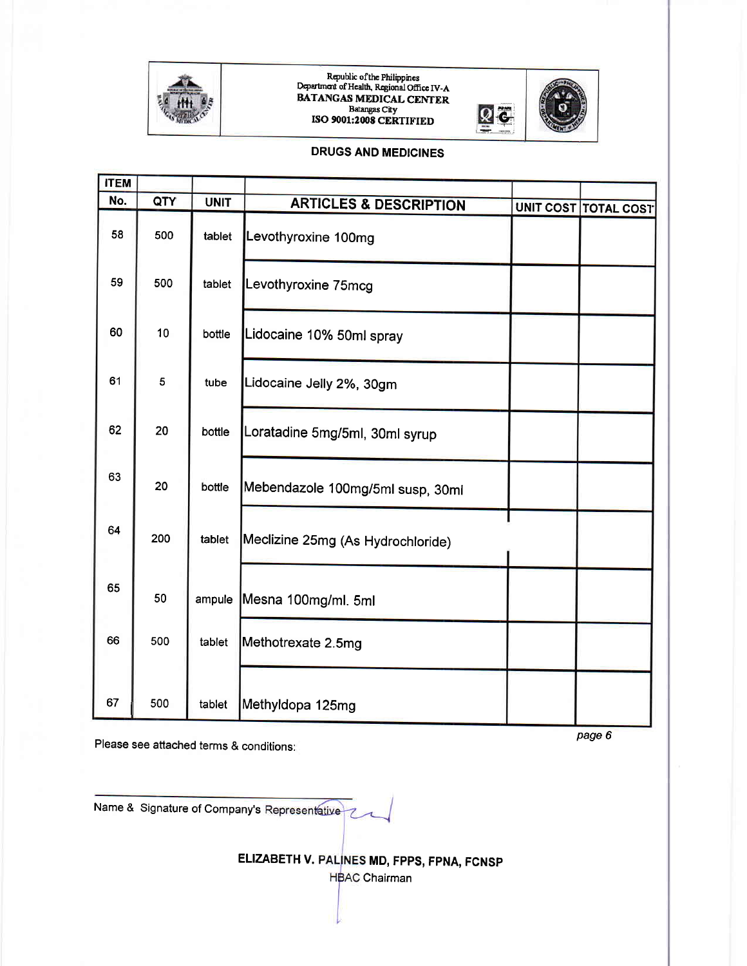

## Republic of the Philippines<br>Department of Health, Regional Office IV-A **BATANGAS MEDICAL CENTER** Batangas City<br>ISO 9001:2008 CERTIFIED



#### **DRUGS AND MEDICINES**

| <b>ITEM</b> |     |             |                                   |                      |
|-------------|-----|-------------|-----------------------------------|----------------------|
| No.         | QTY | <b>UNIT</b> | <b>ARTICLES &amp; DESCRIPTION</b> |                      |
| 58          | 500 | tablet      | Levothyroxine 100mg               | UNIT COST TOTAL COST |
| 59          | 500 | tablet      | Levothyroxine 75mcg               |                      |
| 60          | 10  | bottle      | Lidocaine 10% 50ml spray          |                      |
| 61          | 5   | tube        | Lidocaine Jelly 2%, 30gm          |                      |
| 62          | 20  | bottle      | Loratadine 5mg/5ml, 30ml syrup    |                      |
| 63          | 20  | bottle      | Mebendazole 100mg/5ml susp, 30ml  |                      |
| 64          | 200 | tablet      | Meclizine 25mg (As Hydrochloride) |                      |
| 65          | 50  |             | ampule Mesna 100mg/ml. 5ml        |                      |
| 66          | 500 | tablet      | Methotrexate 2.5mg                |                      |
| 67          | 500 | tablet      | Methyldopa 125mg                  |                      |

Please see attached terms & conditions:

page 6

Name & Signature of Company's Representative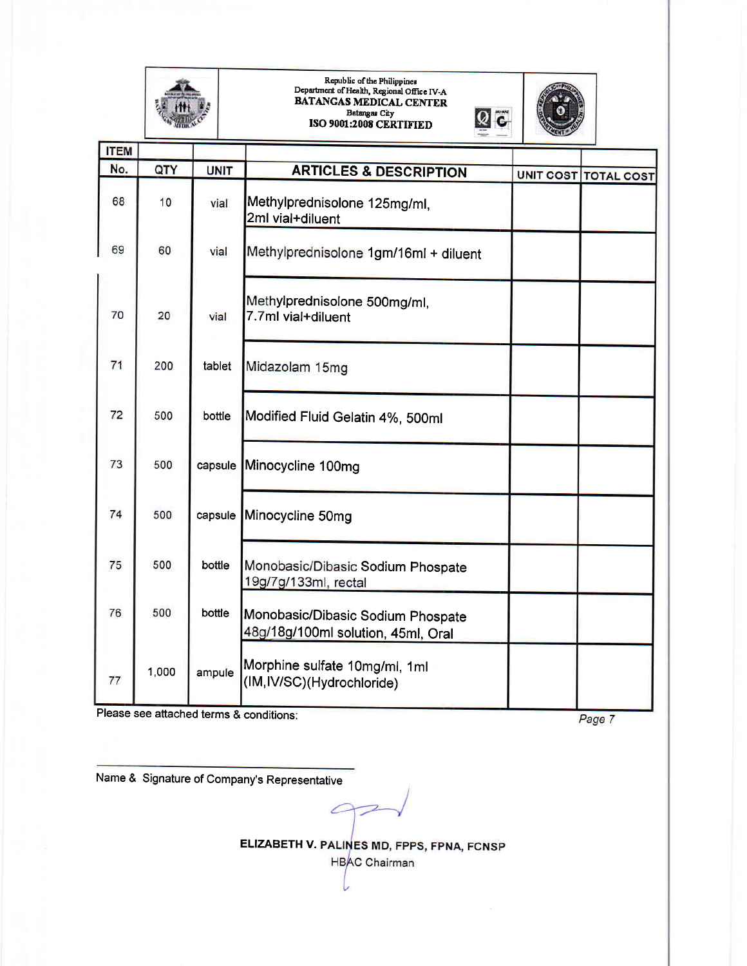

## Republic of the Philippines Dcpartnent of Hcalh, Regional Ofrcc IV-A BATANCAS MEDICAL CENTER Batangas City<br>ISO 9001:2008 CERTIFIED



| <b>ITEM</b> |       |             |                                                                         |                      |
|-------------|-------|-------------|-------------------------------------------------------------------------|----------------------|
| No.         | QTY   | <b>UNIT</b> | <b>ARTICLES &amp; DESCRIPTION</b>                                       | UNIT COST TOTAL COST |
| 68          | 10    | vial        | Methylprednisolone 125mg/ml,<br>2ml vial+diluent                        |                      |
| 69          | 60    | vial        | Methylprednisolone 1gm/16ml + diluent                                   |                      |
| 70          | 20    | vial        | Methylprednisolone 500mg/ml,<br>7.7ml vial+diluent                      |                      |
| 71          | 200   | tablet      | Midazolam 15mg                                                          |                      |
| 72          | 500   | bottle      | Modified Fluid Gelatin 4%, 500ml                                        |                      |
| 73          | 500   |             | capsule Minocycline 100mg                                               |                      |
| 74          | 500   |             | capsule Minocycline 50mg                                                |                      |
| 75          | 500   | bottle      | Monobasic/Dibasic Sodium Phospate<br>19g/7g/133ml, rectal               |                      |
| 76          | 500   | bottle      | Monobasic/Dibasic Sodium Phospate<br>48g/18g/100ml solution, 45ml, Oral |                      |
| 77          | 1,000 | ampule      | Morphine sulfate 10mg/ml, 1ml<br>(IM, IV/SC)(Hydrochloride)             |                      |

Please see attached terms & conditions:

Page 7

Name & Signature of Company's Representative

€

ELIZABETH V. PALINES MD, FPPS, FPNA, FCNSP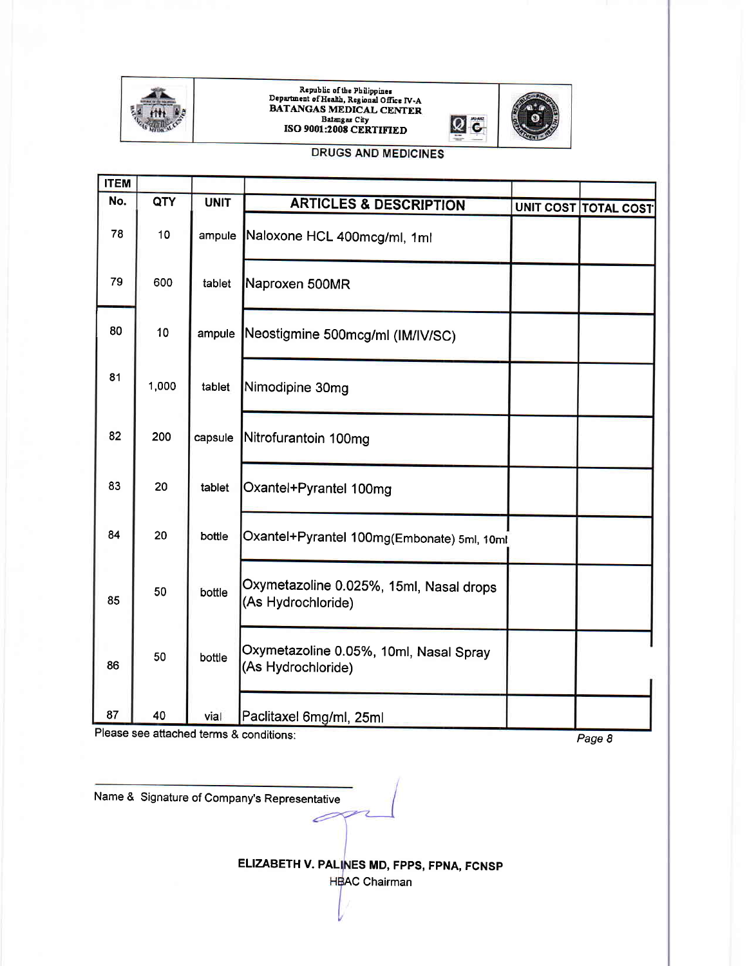

## Republic of the Philippines<br>Department of Health, Regional Office IV-A BATANGAS MEDICAL CENTER, Batangas City<br>ISO 9001:2008 CERTIFIEL



#### **DRUGS AND MEDICINES**

| <b>ITEM</b> |       |             |                                                               |                      |
|-------------|-------|-------------|---------------------------------------------------------------|----------------------|
| No.         | QTY   | <b>UNIT</b> | <b>ARTICLES &amp; DESCRIPTION</b>                             | UNIT COST TOTAL COST |
| 78          | 10    | ampule      | Naloxone HCL 400mcg/ml, 1ml                                   |                      |
| 79          | 600   | tablet      | Naproxen 500MR                                                |                      |
| 80          | 10    | ampule      | Neostigmine 500mcg/ml (IM/IV/SC)                              |                      |
| 81          | 1,000 | tablet      | Nimodipine 30mg                                               |                      |
| 82          | 200   | capsule     | Nitrofurantoin 100mg                                          |                      |
| 83          | 20    | tablet      | Oxantel+Pyrantel 100mg                                        |                      |
| 84          | 20    | bottle      | Oxantel+Pyrantel 100mg(Embonate) 5ml, 10ml                    |                      |
| 85          | 50    | bottle      | Oxymetazoline 0.025%, 15ml, Nasal drops<br>(As Hydrochloride) |                      |
| 86          | 50    | bottle      | Oxymetazoline 0.05%, 10ml, Nasal Spray<br>(As Hydrochloride)  |                      |
| 87          | 40    | vial        | Paclitaxel 6mg/ml, 25ml                                       |                      |

Please see attached terms & conditions:

Page 8

Name & Signature of Company's Representative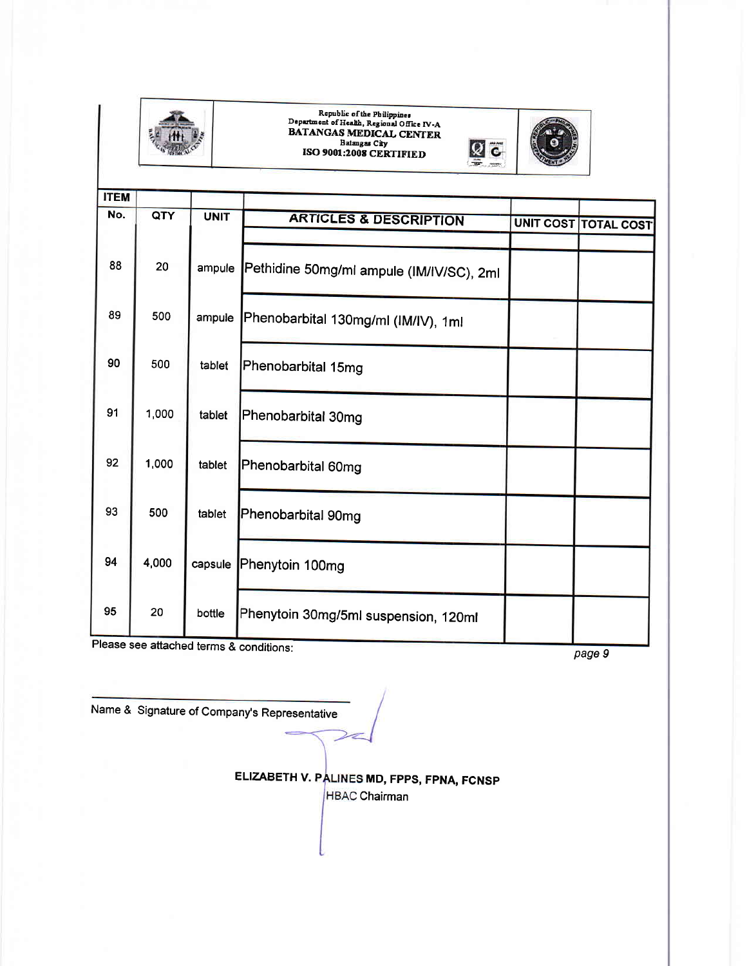

## Republic of the Philippines<br>Department of Health, Regional Office IV-A BATANGAS MEDICAL CENTER<br>Batangas City<br>ISO 9001:2008 CERTIFIED



| <b>ITEM</b> |       |             |                                          |                             |
|-------------|-------|-------------|------------------------------------------|-----------------------------|
| No.         | QTY   | <b>UNIT</b> | <b>ARTICLES &amp; DESCRIPTION</b>        | <b>UNIT COST TOTAL COST</b> |
| 88          | 20    | ampule      | Pethidine 50mg/ml ampule (IM/IV/SC), 2ml |                             |
| 89          | 500   | ampule      | Phenobarbital 130mg/ml (IM/IV), 1ml      |                             |
| 90          | 500   | tablet      | Phenobarbital 15mg                       |                             |
| 91          | 1,000 | tablet      | Phenobarbital 30mg                       |                             |
| 92          | 1,000 | tablet      | Phenobarbital 60mg                       |                             |
| 93          | 500   | tablet      | Phenobarbital 90mg                       |                             |
| 94          | 4,000 | capsule     | Phenytoin 100mg                          |                             |
| 95          | 20    | bottle      | Phenytoin 30mg/5ml suspension, 120ml     |                             |

Please see attached terms & conditions:

page 9

Name & Signature of Company's Representative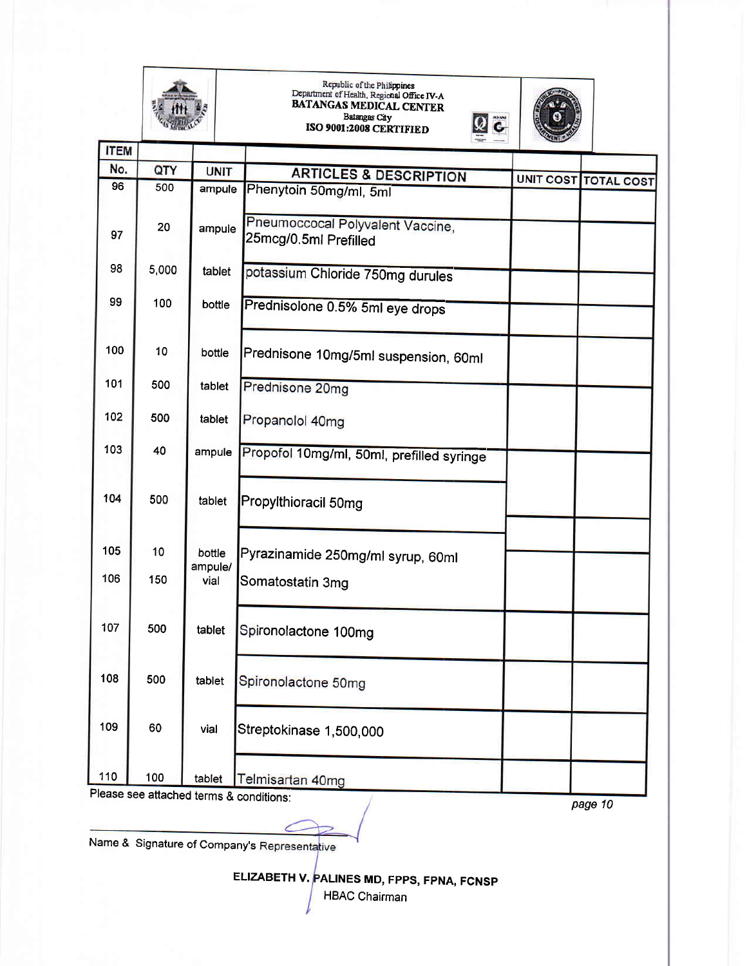

## kepublic of the Philippines<br>Department of Health, Regional Office IV-A<br>BATANGAS MEDICAL CENTER Batangas City ISO 9001:2008 CERTIFIED



|Q

| <b>ITEM</b> |       |                 |                                                           |                             |
|-------------|-------|-----------------|-----------------------------------------------------------|-----------------------------|
| No.         | QTY   | <b>UNIT</b>     | <b>ARTICLES &amp; DESCRIPTION</b>                         |                             |
| 96          | 500   | ampule          | Phenytoin 50mg/ml, 5ml                                    | <b>UNIT COST TOTAL COST</b> |
| 97          | 20    | ampule          | Pneumoccocal Polyvalent Vaccine,<br>25mcg/0.5ml Prefilled |                             |
| 98          | 5,000 | tablet          | potassium Chloride 750mg durules                          |                             |
| 99          | 100   | bottle          | Prednisolone 0.5% 5ml eye drops                           |                             |
| 100         | 10    | bottle          | Prednisone 10mg/5ml suspension, 60ml                      |                             |
| 101         | 500   | tablet          | Prednisone 20mg                                           |                             |
| 102         | 500   | tablet          | Propanolol 40mg                                           |                             |
| 103         | 40    | ampule          | Propofol 10mg/ml, 50ml, prefilled syringe                 |                             |
| 104         | 500   | tablet          | Propylthioracil 50mg                                      |                             |
| 105         | 10    | bottle          | Pyrazinamide 250mg/ml syrup, 60ml                         |                             |
| 106         | 150   | ampule/<br>vial | Somatostatin 3mg                                          |                             |
| 107         | 500   | tablet          | Spironolactone 100mg                                      |                             |
| 108         | 500   | tablet          | Spironolactone 50mg                                       |                             |
| 109         | 60    | vial            | Streptokinase 1,500,000                                   |                             |
| 110         | 100   | tablet          | Telmisartan 40mg                                          |                             |

Please see attached terms & conditions:

page 10

Name & Signature of Company's Representative